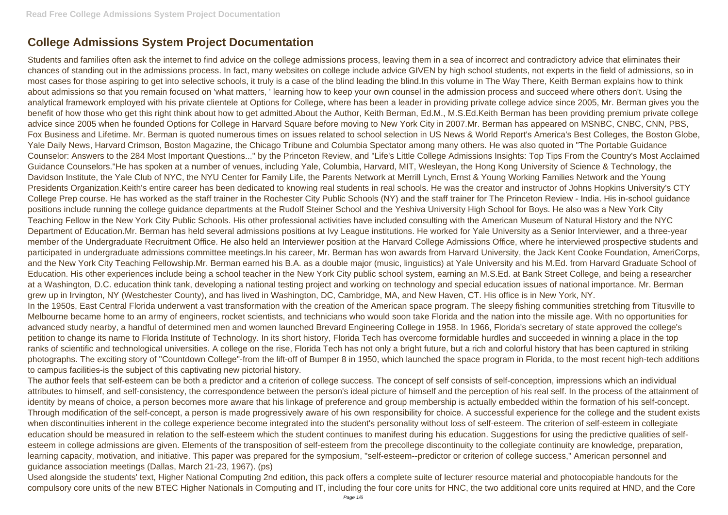## **College Admissions System Project Documentation**

Students and families often ask the internet to find advice on the college admissions process, leaving them in a sea of incorrect and contradictory advice that eliminates their chances of standing out in the admissions process. In fact, many websites on college include advice GIVEN by high school students, not experts in the field of admissions, so in most cases for those aspiring to get into selective schools, it truly is a case of the blind leading the blind.In this volume in The Way There, Keith Berman explains how to think about admissions so that you remain focused on 'what matters, ' learning how to keep your own counsel in the admission process and succeed where others don't. Using the analytical framework employed with his private clientele at Options for College, where has been a leader in providing private college advice since 2005, Mr. Berman gives you the benefit of how those who get this right think about how to get admitted.About the Author, Keith Berman, Ed.M., M.S.Ed.Keith Berman has been providing premium private college advice since 2005 when he founded Options for College in Harvard Square before moving to New York City in 2007.Mr. Berman has appeared on MSNBC, CNBC, CNN, PBS, Fox Business and Lifetime. Mr. Berman is quoted numerous times on issues related to school selection in US News & World Report's America's Best Colleges, the Boston Globe, Yale Daily News, Harvard Crimson, Boston Magazine, the Chicago Tribune and Columbia Spectator among many others. He was also quoted in "The Portable Guidance Counselor: Answers to the 284 Most Important Questions..." by the Princeton Review, and "Life's Little College Admissions Insights: Top Tips From the Country's Most Acclaimed Guidance Counselors."He has spoken at a number of venues, including Yale, Columbia, Harvard, MIT, Wesleyan, the Hong Kong University of Science & Technology, the Davidson Institute, the Yale Club of NYC, the NYU Center for Family Life, the Parents Network at Merrill Lynch, Ernst & Young Working Families Network and the Young Presidents Organization.Keith's entire career has been dedicated to knowing real students in real schools. He was the creator and instructor of Johns Hopkins University's CTY College Prep course. He has worked as the staff trainer in the Rochester City Public Schools (NY) and the staff trainer for The Princeton Review - India. His in-school guidance positions include running the college guidance departments at the Rudolf Steiner School and the Yeshiva University High School for Boys. He also was a New York City Teaching Fellow in the New York City Public Schools. His other professional activities have included consulting with the American Museum of Natural History and the NYC Department of Education.Mr. Berman has held several admissions positions at Ivy League institutions. He worked for Yale University as a Senior Interviewer, and a three-year member of the Undergraduate Recruitment Office. He also held an Interviewer position at the Harvard College Admissions Office, where he interviewed prospective students and participated in undergraduate admissions committee meetings.In his career, Mr. Berman has won awards from Harvard University, the Jack Kent Cooke Foundation, AmeriCorps, and the New York City Teaching Fellowship.Mr. Berman earned his B.A. as a double major (music, linguistics) at Yale University and his M.Ed. from Harvard Graduate School of Education. His other experiences include being a school teacher in the New York City public school system, earning an M.S.Ed. at Bank Street College, and being a researcher at a Washington, D.C. education think tank, developing a national testing project and working on technology and special education issues of national importance. Mr. Berman grew up in Irvington, NY (Westchester County), and has lived in Washington, DC, Cambridge, MA, and New Haven, CT. His office is in New York, NY. In the 1950s, East Central Florida underwent a vast transformation with the creation of the American space program. The sleepy fishing communities stretching from Titusville to Melbourne became home to an army of engineers, rocket scientists, and technicians who would soon take Florida and the nation into the missile age. With no opportunities for advanced study nearby, a handful of determined men and women launched Brevard Engineering College in 1958. In 1966, Florida's secretary of state approved the college's petition to change its name to Florida Institute of Technology. In its short history, Florida Tech has overcome formidable hurdles and succeeded in winning a place in the top ranks of scientific and technological universities. A college on the rise, Florida Tech has not only a bright future, but a rich and colorful history that has been captured in striking photographs. The exciting story of "Countdown College"-from the lift-off of Bumper 8 in 1950, which launched the space program in Florida, to the most recent high-tech additions to campus facilities-is the subject of this captivating new pictorial history.

The author feels that self-esteem can be both a predictor and a criterion of college success. The concept of self consists of self-conception, impressions which an individual attributes to himself, and self-consistency, the correspondence between the person's ideal picture of himself and the perception of his real self. In the process of the attainment of identity by means of choice, a person becomes more aware that his linkage of preference and group membership is actually embedded within the formation of his self-concept. Through modification of the self-concept, a person is made progressively aware of his own responsibility for choice. A successful experience for the college and the student exists when discontinuities inherent in the college experience become integrated into the student's personality without loss of self-esteem. The criterion of self-esteem in collegiate education should be measured in relation to the self-esteem which the student continues to manifest during his education. Suggestions for using the predictive qualities of selfesteem in college admissions are given. Elements of the transposition of self-esteem from the precollege discontinuity to the collegiate continuity are knowledge, preparation, learning capacity, motivation, and initiative. This paper was prepared for the symposium, "self-esteem--predictor or criterion of college success," American personnel and guidance association meetings (Dallas, March 21-23, 1967). (ps)

Used alongside the students' text, Higher National Computing 2nd edition, this pack offers a complete suite of lecturer resource material and photocopiable handouts for the compulsory core units of the new BTEC Higher Nationals in Computing and IT, including the four core units for HNC, the two additional core units required at HND, and the Core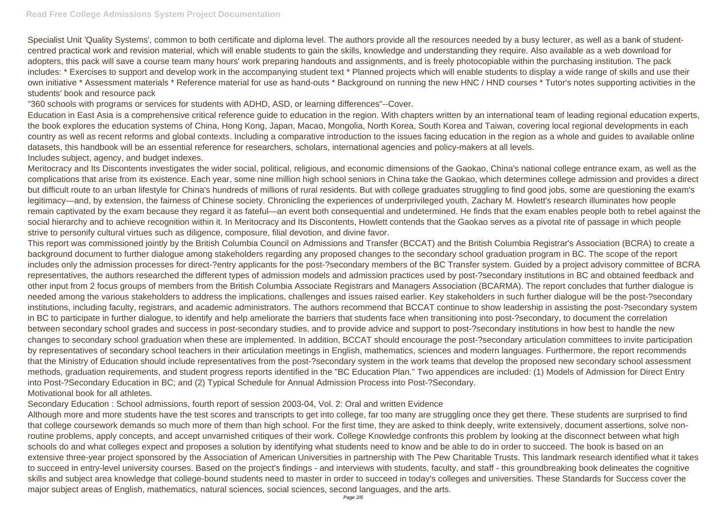## **Read Free College Admissions System Project Documentation**

Specialist Unit 'Quality Systems', common to both certificate and diploma level. The authors provide all the resources needed by a busy lecturer, as well as a bank of studentcentred practical work and revision material, which will enable students to gain the skills, knowledge and understanding they require. Also available as a web download for adopters, this pack will save a course team many hours' work preparing handouts and assignments, and is freely photocopiable within the purchasing institution. The pack includes: \* Exercises to support and develop work in the accompanying student text \* Planned projects which will enable students to display a wide range of skills and use their own initiative \* Assessment materials \* Reference material for use as hand-outs \* Background on running the new HNC / HND courses \* Tutor's notes supporting activities in the students' book and resource pack

"360 schools with programs or services for students with ADHD, ASD, or learning differences"--Cover.

Education in East Asia is a comprehensive critical reference guide to education in the region. With chapters written by an international team of leading regional education experts, the book explores the education systems of China, Hong Kong, Japan, Macao, Mongolia, North Korea, South Korea and Taiwan, covering local regional developments in each country as well as recent reforms and global contexts. Including a comparative introduction to the issues facing education in the region as a whole and guides to available online datasets, this handbook will be an essential reference for researchers, scholars, international agencies and policy-makers at all levels. Includes subject, agency, and budget indexes.

Meritocracy and Its Discontents investigates the wider social, political, religious, and economic dimensions of the Gaokao, China's national college entrance exam, as well as the complications that arise from its existence. Each year, some nine million high school seniors in China take the Gaokao, which determines college admission and provides a direct but difficult route to an urban lifestyle for China's hundreds of millions of rural residents. But with college graduates struggling to find good jobs, some are questioning the exam's legitimacy—and, by extension, the fairness of Chinese society. Chronicling the experiences of underprivileged youth, Zachary M. Howlett's research illuminates how people remain captivated by the exam because they regard it as fateful—an event both consequential and undetermined. He finds that the exam enables people both to rebel against the social hierarchy and to achieve recognition within it. In Meritocracy and Its Discontents, Howlett contends that the Gaokao serves as a pivotal rite of passage in which people strive to personify cultural virtues such as diligence, composure, filial devotion, and divine favor.

This report was commissioned jointly by the British Columbia Council on Admissions and Transfer (BCCAT) and the British Columbia Registrar's Association (BCRA) to create a background document to further dialogue among stakeholders regarding any proposed changes to the secondary school graduation program in BC. The scope of the report includes only the admission processes for direct-?entry applicants for the post-?secondary members of the BC Transfer system. Guided by a project advisory committee of BCRA representatives, the authors researched the different types of admission models and admission practices used by post-?secondary institutions in BC and obtained feedback and other input from 2 focus groups of members from the British Columbia Associate Registrars and Managers Association (BCARMA). The report concludes that further dialogue is needed among the various stakeholders to address the implications, challenges and issues raised earlier. Key stakeholders in such further dialogue will be the post-?secondary institutions, including faculty, registrars, and academic administrators. The authors recommend that BCCAT continue to show leadership in assisting the post-?secondary system in BC to participate in further dialogue, to identify and help ameliorate the barriers that students face when transitioning into post-?secondary, to document the correlation between secondary school grades and success in post-secondary studies, and to provide advice and support to post-?secondary institutions in how best to handle the new changes to secondary school graduation when these are implemented. In addition, BCCAT should encourage the post-?secondary articulation committees to invite participation by representatives of secondary school teachers in their articulation meetings in English, mathematics, sciences and modern languages. Furthermore, the report recommends that the Ministry of Education should include representatives from the post-?secondary system in the work teams that develop the proposed new secondary school assessment methods, graduation requirements, and student progress reports identified in the "BC Education Plan." Two appendices are included: (1) Models of Admission for Direct Entry into Post-?Secondary Education in BC; and (2) Typical Schedule for Annual Admission Process into Post-?Secondary. Motivational book for all athletes.

Secondary Education : School admissions, fourth report of session 2003-04, Vol. 2: Oral and written Evidence

Although more and more students have the test scores and transcripts to get into college, far too many are struggling once they get there. These students are surprised to find that college coursework demands so much more of them than high school. For the first time, they are asked to think deeply, write extensively, document assertions, solve nonroutine problems, apply concepts, and accept unvarnished critiques of their work. College Knowledge confronts this problem by looking at the disconnect between what high schools do and what colleges expect and proposes a solution by identifying what students need to know and be able to do in order to succeed. The book is based on an extensive three-year project sponsored by the Association of American Universities in partnership with The Pew Charitable Trusts. This landmark research identified what it takes to succeed in entry-level university courses. Based on the project's findings - and interviews with students, faculty, and staff - this groundbreaking book delineates the cognitive skills and subject area knowledge that college-bound students need to master in order to succeed in today's colleges and universities. These Standards for Success cover the major subject areas of English, mathematics, natural sciences, social sciences, second languages, and the arts.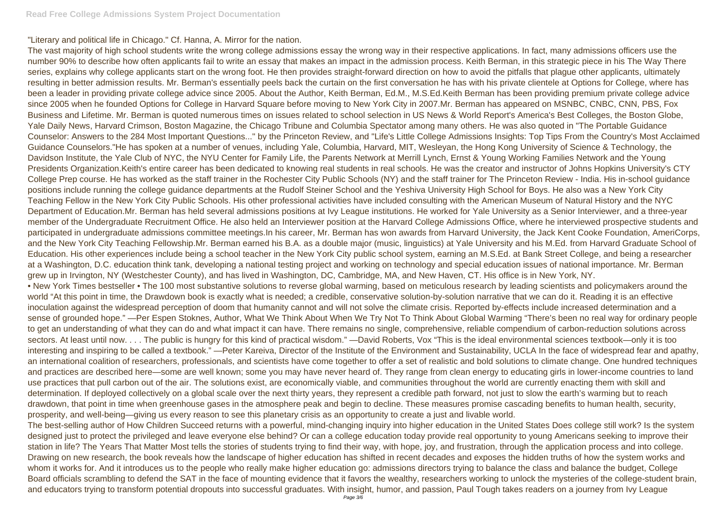"Literary and political life in Chicago." Cf. Hanna, A. Mirror for the nation.

The vast majority of high school students write the wrong college admissions essay the wrong way in their respective applications. In fact, many admissions officers use the number 90% to describe how often applicants fail to write an essay that makes an impact in the admission process. Keith Berman, in this strategic piece in his The Way There series, explains why college applicants start on the wrong foot. He then provides straight-forward direction on how to avoid the pitfalls that plague other applicants, ultimately resulting in better admission results. Mr. Berman's essentially peels back the curtain on the first conversation he has with his private clientele at Options for College, where has been a leader in providing private college advice since 2005. About the Author, Keith Berman, Ed.M., M.S.Ed.Keith Berman has been providing premium private college advice since 2005 when he founded Options for College in Harvard Square before moving to New York City in 2007.Mr. Berman has appeared on MSNBC, CNBC, CNN, PBS, Fox Business and Lifetime. Mr. Berman is quoted numerous times on issues related to school selection in US News & World Report's America's Best Colleges, the Boston Globe, Yale Daily News, Harvard Crimson, Boston Magazine, the Chicago Tribune and Columbia Spectator among many others. He was also quoted in "The Portable Guidance Counselor: Answers to the 284 Most Important Questions..." by the Princeton Review, and "Life's Little College Admissions Insights: Top Tips From the Country's Most Acclaimed Guidance Counselors."He has spoken at a number of venues, including Yale, Columbia, Harvard, MIT, Wesleyan, the Hong Kong University of Science & Technology, the Davidson Institute, the Yale Club of NYC, the NYU Center for Family Life, the Parents Network at Merrill Lynch, Ernst & Young Working Families Network and the Young Presidents Organization.Keith's entire career has been dedicated to knowing real students in real schools. He was the creator and instructor of Johns Hopkins University's CTY College Prep course. He has worked as the staff trainer in the Rochester City Public Schools (NY) and the staff trainer for The Princeton Review - India. His in-school guidance positions include running the college guidance departments at the Rudolf Steiner School and the Yeshiva University High School for Boys. He also was a New York City Teaching Fellow in the New York City Public Schools. His other professional activities have included consulting with the American Museum of Natural History and the NYC Department of Education.Mr. Berman has held several admissions positions at Ivy League institutions. He worked for Yale University as a Senior Interviewer, and a three-year member of the Undergraduate Recruitment Office. He also held an Interviewer position at the Harvard College Admissions Office, where he interviewed prospective students and participated in undergraduate admissions committee meetings.In his career, Mr. Berman has won awards from Harvard University, the Jack Kent Cooke Foundation, AmeriCorps, and the New York City Teaching Fellowship.Mr. Berman earned his B.A. as a double major (music, linguistics) at Yale University and his M.Ed. from Harvard Graduate School of Education. His other experiences include being a school teacher in the New York City public school system, earning an M.S.Ed. at Bank Street College, and being a researcher at a Washington, D.C. education think tank, developing a national testing project and working on technology and special education issues of national importance. Mr. Berman grew up in Irvington, NY (Westchester County), and has lived in Washington, DC, Cambridge, MA, and New Haven, CT. His office is in New York, NY. • New York Times bestseller • The 100 most substantive solutions to reverse global warming, based on meticulous research by leading scientists and policymakers around the world "At this point in time, the Drawdown book is exactly what is needed; a credible, conservative solution-by-solution narrative that we can do it. Reading it is an effective inoculation against the widespread perception of doom that humanity cannot and will not solve the climate crisis. Reported by-effects include increased determination and a sense of grounded hope." —Per Espen Stoknes, Author, What We Think About When We Try Not To Think About Global Warming "There's been no real way for ordinary people to get an understanding of what they can do and what impact it can have. There remains no single, comprehensive, reliable compendium of carbon-reduction solutions across sectors. At least until now. . . . The public is hungry for this kind of practical wisdom." —David Roberts, Vox "This is the ideal environmental sciences textbook—only it is too interesting and inspiring to be called a textbook." —Peter Kareiva, Director of the Institute of the Environment and Sustainability, UCLA In the face of widespread fear and apathy, an international coalition of researchers, professionals, and scientists have come together to offer a set of realistic and bold solutions to climate change. One hundred techniques and practices are described here—some are well known; some you may have never heard of. They range from clean energy to educating girls in lower-income countries to land use practices that pull carbon out of the air. The solutions exist, are economically viable, and communities throughout the world are currently enacting them with skill and determination. If deployed collectively on a global scale over the next thirty years, they represent a credible path forward, not just to slow the earth's warming but to reach drawdown, that point in time when greenhouse gases in the atmosphere peak and begin to decline. These measures promise cascading benefits to human health, security, prosperity, and well-being—giving us every reason to see this planetary crisis as an opportunity to create a just and livable world. The best-selling author of How Children Succeed returns with a powerful, mind-changing inquiry into higher education in the United States Does college still work? Is the system designed just to protect the privileged and leave everyone else behind? Or can a college education today provide real opportunity to young Americans seeking to improve their station in life? The Years That Matter Most tells the stories of students trying to find their way, with hope, joy, and frustration, through the application process and into college. Drawing on new research, the book reveals how the landscape of higher education has shifted in recent decades and exposes the hidden truths of how the system works and whom it works for. And it introduces us to the people who really make higher education go: admissions directors trying to balance the class and balance the budget, College Board officials scrambling to defend the SAT in the face of mounting evidence that it favors the wealthy, researchers working to unlock the mysteries of the college-student brain, and educators trying to transform potential dropouts into successful graduates. With insight, humor, and passion, Paul Tough takes readers on a journey from Ivy League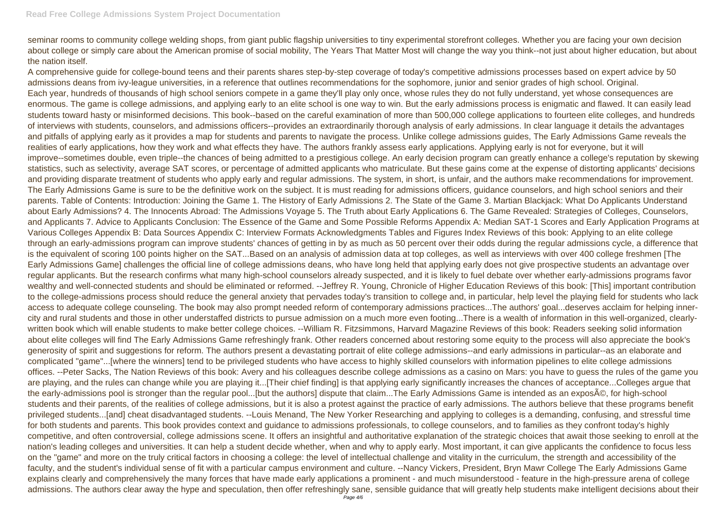seminar rooms to community college welding shops, from giant public flagship universities to tiny experimental storefront colleges. Whether you are facing your own decision about college or simply care about the American promise of social mobility, The Years That Matter Most will change the way you think--not just about higher education, but about the nation itself.

A comprehensive guide for college-bound teens and their parents shares step-by-step coverage of today's competitive admissions processes based on expert advice by 50 admissions deans from ivy-league universities, in a reference that outlines recommendations for the sophomore, junior and senior grades of high school. Original. Each year, hundreds of thousands of high school seniors compete in a game they'll play only once, whose rules they do not fully understand, yet whose consequences are enormous. The game is college admissions, and applying early to an elite school is one way to win. But the early admissions process is enigmatic and flawed. It can easily lead students toward hasty or misinformed decisions. This book--based on the careful examination of more than 500,000 college applications to fourteen elite colleges, and hundreds of interviews with students, counselors, and admissions officers--provides an extraordinarily thorough analysis of early admissions. In clear language it details the advantages and pitfalls of applying early as it provides a map for students and parents to navigate the process. Unlike college admissions guides, The Early Admissions Game reveals the realities of early applications, how they work and what effects they have. The authors frankly assess early applications. Applying early is not for everyone, but it will improve--sometimes double, even triple--the chances of being admitted to a prestigious college. An early decision program can greatly enhance a college's reputation by skewing statistics, such as selectivity, average SAT scores, or percentage of admitted applicants who matriculate. But these gains come at the expense of distorting applicants' decisions and providing disparate treatment of students who apply early and regular admissions. The system, in short, is unfair, and the authors make recommendations for improvement. The Early Admissions Game is sure to be the definitive work on the subject. It is must reading for admissions officers, guidance counselors, and high school seniors and their parents. Table of Contents: Introduction: Joining the Game 1. The History of Early Admissions 2. The State of the Game 3. Martian Blackjack: What Do Applicants Understand about Early Admissions? 4. The Innocents Abroad: The Admissions Voyage 5. The Truth about Early Applications 6. The Game Revealed: Strategies of Colleges, Counselors, and Applicants 7. Advice to Applicants Conclusion: The Essence of the Game and Some Possible Reforms Appendix A: Median SAT-1 Scores and Early Application Programs at Various Colleges Appendix B: Data Sources Appendix C: Interview Formats Acknowledgments Tables and Figures Index Reviews of this book: Applying to an elite college through an early-admissions program can improve students' chances of getting in by as much as 50 percent over their odds during the regular admissions cycle, a difference that is the equivalent of scoring 100 points higher on the SAT...Based on an analysis of admission data at top colleges, as well as interviews with over 400 college freshmen [The Early Admissions Game] challenges the official line of college admissions deans, who have long held that applying early does not give prospective students an advantage over regular applicants. But the research confirms what many high-school counselors already suspected, and it is likely to fuel debate over whether early-admissions programs favor wealthy and well-connected students and should be eliminated or reformed. --Jeffrey R. Young, Chronicle of Higher Education Reviews of this book: [This] important contribution to the college-admissions process should reduce the general anxiety that pervades today's transition to college and, in particular, help level the playing field for students who lack access to adequate college counseling. The book may also prompt needed reform of contemporary admissions practices...The authors' goal...deserves acclaim for helping innercity and rural students and those in other understaffed districts to pursue admission on a much more even footing...There is a wealth of information in this well-organized, clearlywritten book which will enable students to make better college choices. --William R. Fitzsimmons, Harvard Magazine Reviews of this book: Readers seeking solid information about elite colleges will find The Early Admissions Game refreshingly frank. Other readers concerned about restoring some equity to the process will also appreciate the book's generosity of spirit and suggestions for reform. The authors present a devastating portrait of elite college admissions--and early admissions in particular--as an elaborate and complicated "game"...[where the winners] tend to be privileged students who have access to highly skilled counselors with information pipelines to elite college admissions offices. --Peter Sacks, The Nation Reviews of this book: Avery and his colleagues describe college admissions as a casino on Mars: you have to guess the rules of the game you are playing, and the rules can change while you are playing it...[Their chief finding] is that applying early significantly increases the chances of acceptance...Colleges argue that the early-admissions pool is stronger than the regular pool...[but the authors] dispute that claim...The Early Admissions Game is intended as an exposA©, for high-school students and their parents, of the realities of college admissions, but it is also a protest against the practice of early admissions. The authors believe that these programs benefit privileged students...[and] cheat disadvantaged students. --Louis Menand, The New Yorker Researching and applying to colleges is a demanding, confusing, and stressful time for both students and parents. This book provides context and guidance to admissions professionals, to college counselors, and to families as they confront today's highly competitive, and often controversial, college admissions scene. It offers an insightful and authoritative explanation of the strategic choices that await those seeking to enroll at the nation's leading colleges and universities. It can help a student decide whether, when and why to apply early. Most important, it can give applicants the confidence to focus less on the "game" and more on the truly critical factors in choosing a college: the level of intellectual challenge and vitality in the curriculum, the strength and accessibility of the faculty, and the student's individual sense of fit with a particular campus environment and culture. --Nancy Vickers, President, Bryn Mawr College The Early Admissions Game explains clearly and comprehensively the many forces that have made early applications a prominent - and much misunderstood - feature in the high-pressure arena of college admissions. The authors clear away the hype and speculation, then offer refreshingly sane, sensible guidance that will greatly help students make intelligent decisions about their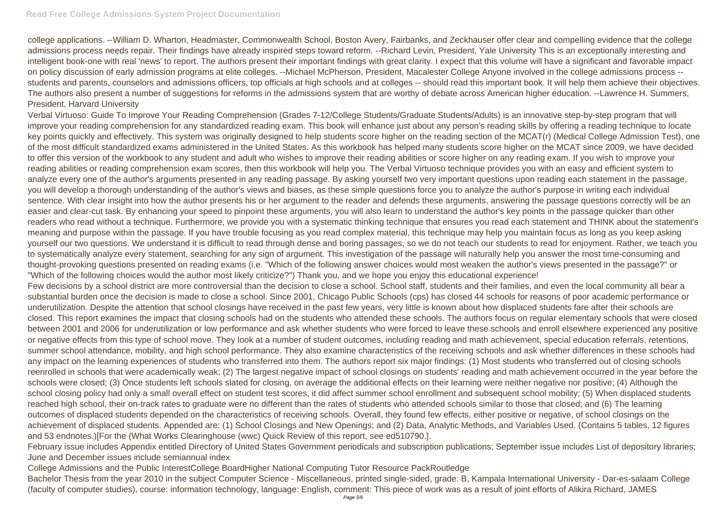## **Read Free College Admissions System Project Documentation**

college applications. --William D. Wharton, Headmaster, Commonwealth School, Boston Avery, Fairbanks, and Zeckhauser offer clear and compelling evidence that the college admissions process needs repair. Their findings have already inspired steps toward reform. --Richard Levin, President, Yale University This is an exceptionally interesting and intelligent book-one with real 'news' to report. The authors present their important findings with great clarity. I expect that this volume will have a significant and favorable impact on policy discussion of early admission programs at elite colleges. --Michael McPherson, President, Macalester College Anyone involved in the college admissions process - students and parents, counselors and admissions officers, top officials at high schools and at colleges -- should read this important book. It will help them achieve their objectives. The authors also present a number of suggestions for reforms in the admissions system that are worthy of debate across American higher education. --Lawrence H. Summers, President, Harvard University

Verbal Virtuoso: Guide To Improve Your Reading Comprehension (Grades 7-12/College Students/Graduate Students/Adults) is an innovative step-by-step program that will improve your reading comprehension for any standardized reading exam. This book will enhance just about any person's reading skills by offering a reading technique to locate key points quickly and effectively. This system was originally designed to help students score higher on the reading section of the MCAT(r) (Medical College Admission Test), one of the most difficult standardized exams administered in the United States. As this workbook has helped many students score higher on the MCAT since 2009, we have decided to offer this version of the workbook to any student and adult who wishes to improve their reading abilities or score higher on any reading exam. If you wish to improve your reading abilities or reading comprehension exam scores, then this workbook will help you. The Verbal Virtuoso technique provides you with an easy and efficient system to analyze every one of the author's arguments presented in any reading passage. By asking yourself two very important questions upon reading each statement in the passage, you will develop a thorough understanding of the author's views and biases, as these simple questions force you to analyze the author's purpose in writing each individual sentence. With clear insight into how the author presents his or her argument to the reader and defends these arguments, answering the passage questions correctly will be an easier and clear-cut task. By enhancing your speed to pinpoint these arguments, you will also learn to understand the author's key points in the passage quicker than other readers who read without a technique. Furthermore, we provide you with a systematic thinking technique that ensures you read each statement and THINK about the statement's meaning and purpose within the passage. If you have trouble focusing as you read complex material, this technique may help you maintain focus as long as you keep asking yourself our two questions. We understand it is difficult to read through dense and boring passages, so we do not teach our students to read for enjoyment. Rather, we teach you to systematically analyze every statement, searching for any sign of argument. This investigation of the passage will naturally help you answer the most time-consuming and thought-provoking questions presented on reading exams (i.e. "Which of the following answer choices would most weaken the author's views presented in the passage?" or "Which of the following choices would the author most likely criticize?") Thank you, and we hope you enjoy this educational experience! Few decisions by a school district are more controversial than the decision to close a school. School staff, students and their families, and even the local community all bear a substantial burden once the decision is made to close a school. Since 2001, Chicago Public Schools (cps) has closed 44 schools for reasons of poor academic performance or underutilization. Despite the attention that school closings have received in the past few years, very little is known about how displaced students fare after their schools are closed. This report examines the impact that closing schools had on the students who attended these schools. The authors focus on regular elementary schools that were closed between 2001 and 2006 for underutilization or low performance and ask whether students who were forced to leave these schools and enroll elsewhere experienced any positive or negative effects from this type of school move. They look at a number of student outcomes, including reading and math achievement, special education referrals, retentions, summer school attendance, mobility, and high school performance. They also examine characteristics of the receiving schools and ask whether differences in these schools had any impact on the learning experiences of students who transferred into them. The authors report six major findings: (1) Most students who transferred out of closing schools reenrolled in schools that were academically weak; (2) The largest negative impact of school closings on students' reading and math achievement occurred in the year before the schools were closed; (3) Once students left schools slated for closing, on average the additional effects on their learning were neither negative nor positive; (4) Although the school closing policy had only a small overall effect on student test scores, it did affect summer school enrollment and subsequent school mobility; (5) When displaced students reached high school, their on-track rates to graduate were no different than the rates of students who attended schools similar to those that closed; and (6) The learning outcomes of displaced students depended on the characteristics of receiving schools. Overall, they found few effects, either positive or negative, of school closings on the achievement of displaced students. Appended are: (1) School Closings and New Openings; and (2) Data, Analytic Methods, and Variables Used. (Contains 5 tables, 12 figures and 53 endnotes.)[For the (What Works Clearinghouse (wwc) Quick Review of this report, see ed510790.].

February issue includes Appendix entitled Directory of United States Government periodicals and subscription publications; September issue includes List of depository libraries; June and December issues include semiannual index

College Admissions and the Public InterestCollege BoardHigher National Computing Tutor Resource PackRoutledge Bachelor Thesis from the year 2010 in the subject Computer Science - Miscellaneous, printed single-sided, grade: B, Kampala International University - Dar-es-salaam College (faculty of computer studies), course: information technology, language: English, comment: This piece of work was as a result of joint efforts of Alikira Richard, JAMES